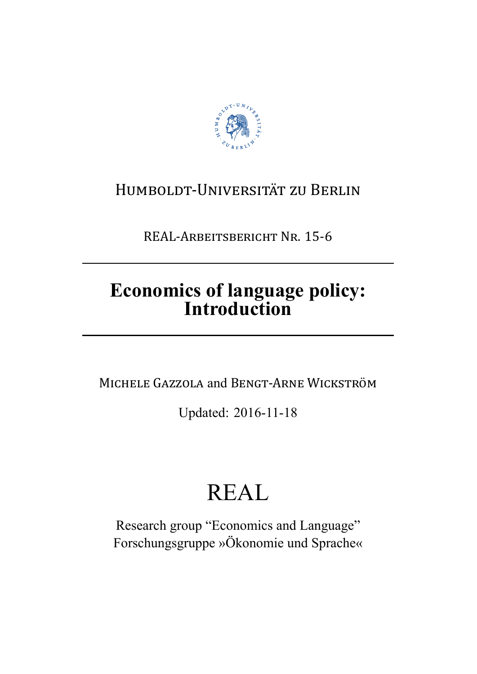

# HUMBOLDT-UNIVERSITÄT ZU BERLIN

REAL-ARBEITSBERICHT NR. 15-6

# **Economics of language policy: Introduction**

MICHELE GAZZOLA and BENGT-ARNE WICKSTRÖM

Updated: 2016-11-18

# REAL

Research group "Economics and Language" Forschungsgruppe »Ökonomie und Sprache«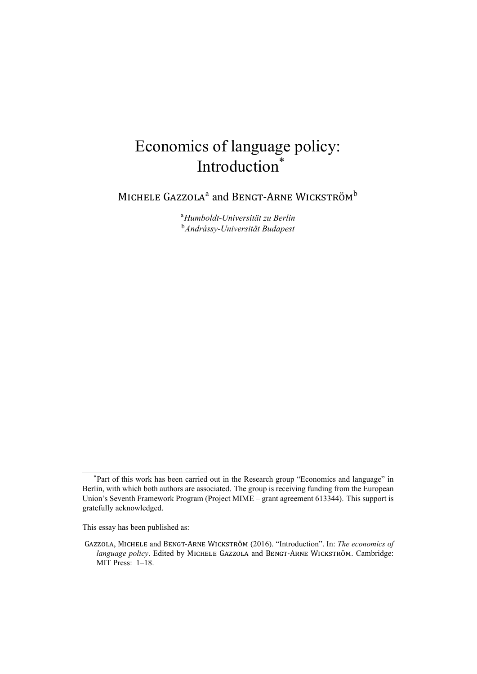# Economics of language policy: Introduction<sup>\*</sup>

MICHELE GAZZOLA<sup>a</sup> and BENGT-ARNE WICKSTRÖM<sup>b</sup>

<sup>a</sup>*Humboldt-Universität zu Berlin* <sup>b</sup>*Andrássy-Universität Budapest*

This essay has been published as:

<sup>\*</sup>Part of this work has been carried out in the Research group "Economics and language" in Berlin, with which both authors are associated. The group is receiving funding from the European Union's Seventh Framework Program (Project MIME – grant agreement 613344). This support is gratefully acknowledged.

GAZZOLA, MICHELE and BENGT-ARNE WICKSTRÖM (2016). "Introduction". In: *The economics of language policy*. Edited by MICHELE GAZZOLA and BENGT-ARNE WICKSTRÖM. Cambridge: MIT Press: 1–18.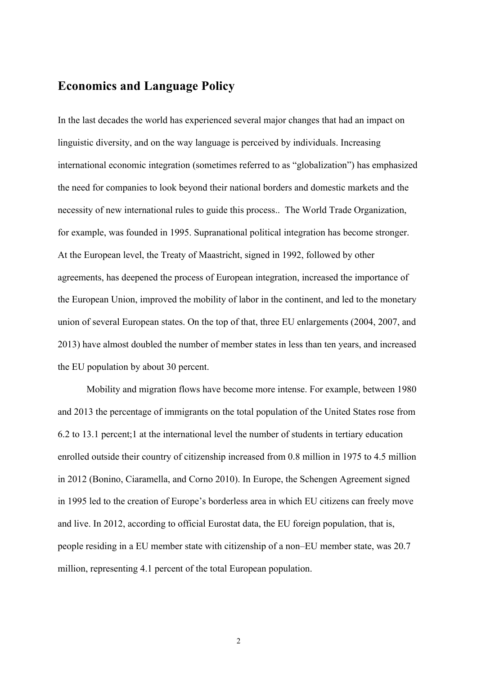## **Economics and Language Policy**

In the last decades the world has experienced several major changes that had an impact on linguistic diversity, and on the way language is perceived by individuals. Increasing international economic integration (sometimes referred to as "globalization") has emphasized the need for companies to look beyond their national borders and domestic markets and the necessity of new international rules to guide this process.. The World Trade Organization, for example, was founded in 1995. Supranational political integration has become stronger. At the European level, the Treaty of Maastricht, signed in 1992, followed by other agreements, has deepened the process of European integration, increased the importance of the European Union, improved the mobility of labor in the continent, and led to the monetary union of several European states. On the top of that, three EU enlargements (2004, 2007, and 2013) have almost doubled the number of member states in less than ten years, and increased the EU population by about 30 percent.

Mobility and migration flows have become more intense. For example, between 1980 and 2013 the percentage of immigrants on the total population of the United States rose from 6.2 to 13.1 percent;1 at the international level the number of students in tertiary education enrolled outside their country of citizenship increased from 0.8 million in 1975 to 4.5 million in 2012 (Bonino, Ciaramella, and Corno 2010). In Europe, the Schengen Agreement signed in 1995 led to the creation of Europe's borderless area in which EU citizens can freely move and live. In 2012, according to official Eurostat data, the EU foreign population, that is, people residing in a EU member state with citizenship of a non–EU member state, was 20.7 million, representing 4.1 percent of the total European population.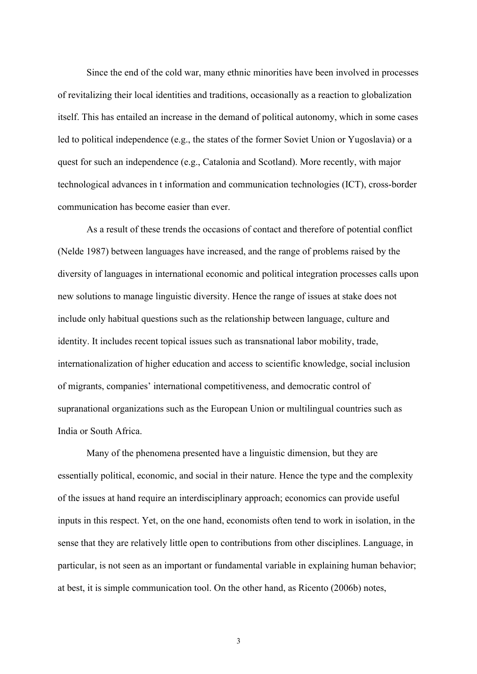Since the end of the cold war, many ethnic minorities have been involved in processes of revitalizing their local identities and traditions, occasionally as a reaction to globalization itself. This has entailed an increase in the demand of political autonomy, which in some cases led to political independence (e.g., the states of the former Soviet Union or Yugoslavia) or a quest for such an independence (e.g., Catalonia and Scotland). More recently, with major technological advances in t information and communication technologies (ICT), cross-border communication has become easier than ever.

As a result of these trends the occasions of contact and therefore of potential conflict (Nelde 1987) between languages have increased, and the range of problems raised by the diversity of languages in international economic and political integration processes calls upon new solutions to manage linguistic diversity. Hence the range of issues at stake does not include only habitual questions such as the relationship between language, culture and identity. It includes recent topical issues such as transnational labor mobility, trade, internationalization of higher education and access to scientific knowledge, social inclusion of migrants, companies' international competitiveness, and democratic control of supranational organizations such as the European Union or multilingual countries such as India or South Africa.

Many of the phenomena presented have a linguistic dimension, but they are essentially political, economic, and social in their nature. Hence the type and the complexity of the issues at hand require an interdisciplinary approach; economics can provide useful inputs in this respect. Yet, on the one hand, economists often tend to work in isolation, in the sense that they are relatively little open to contributions from other disciplines. Language, in particular, is not seen as an important or fundamental variable in explaining human behavior; at best, it is simple communication tool. On the other hand, as Ricento (2006b) notes,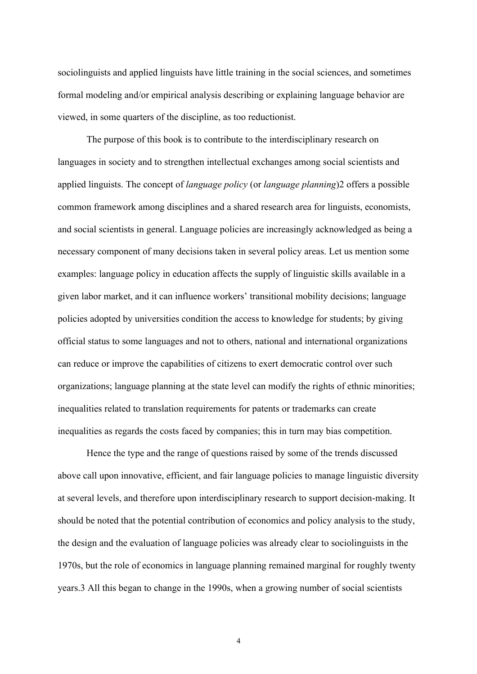sociolinguists and applied linguists have little training in the social sciences, and sometimes formal modeling and/or empirical analysis describing or explaining language behavior are viewed, in some quarters of the discipline, as too reductionist.

The purpose of this book is to contribute to the interdisciplinary research on languages in society and to strengthen intellectual exchanges among social scientists and applied linguists. The concept of *language policy* (or *language planning*)2 offers a possible common framework among disciplines and a shared research area for linguists, economists, and social scientists in general. Language policies are increasingly acknowledged as being a necessary component of many decisions taken in several policy areas. Let us mention some examples: language policy in education affects the supply of linguistic skills available in a given labor market, and it can influence workers' transitional mobility decisions; language policies adopted by universities condition the access to knowledge for students; by giving official status to some languages and not to others, national and international organizations can reduce or improve the capabilities of citizens to exert democratic control over such organizations; language planning at the state level can modify the rights of ethnic minorities; inequalities related to translation requirements for patents or trademarks can create inequalities as regards the costs faced by companies; this in turn may bias competition.

Hence the type and the range of questions raised by some of the trends discussed above call upon innovative, efficient, and fair language policies to manage linguistic diversity at several levels, and therefore upon interdisciplinary research to support decision-making. It should be noted that the potential contribution of economics and policy analysis to the study, the design and the evaluation of language policies was already clear to sociolinguists in the 1970s, but the role of economics in language planning remained marginal for roughly twenty years.3 All this began to change in the 1990s, when a growing number of social scientists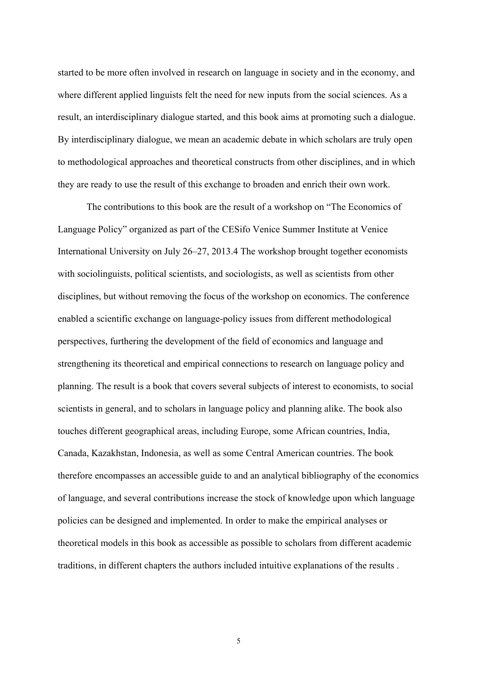started to be more often involved in research on language in society and in the economy, and where different applied linguists felt the need for new inputs from the social sciences. As a result, an interdisciplinary dialogue started, and this book aims at promoting such a dialogue. By interdisciplinary dialogue, we mean an academic debate in which scholars are truly open to methodological approaches and theoretical constructs from other disciplines, and in which they are ready to use the result of this exchange to broaden and enrich their own work.

The contributions to this book are the result of a workshop on "The Economics of Language Policy" organized as part of the CESifo Venice Summer Institute at Venice International University on July 26–27, 2013.4 The workshop brought together economists with sociolinguists, political scientists, and sociologists, as well as scientists from other disciplines, but without removing the focus of the workshop on economics. The conference enabled a scientific exchange on language-policy issues from different methodological perspectives, furthering the development of the field of economics and language and strengthening its theoretical and empirical connections to research on language policy and planning. The result is a book that covers several subjects of interest to economists, to social scientists in general, and to scholars in language policy and planning alike. The book also touches different geographical areas, including Europe, some African countries, India, Canada, Kazakhstan, Indonesia, as well as some Central American countries. The book therefore encompasses an accessible guide to and an analytical bibliography of the economics of language, and several contributions increase the stock of knowledge upon which language policies can be designed and implemented. In order to make the empirical analyses or theoretical models in this book as accessible as possible to scholars from different academic traditions, in different chapters the authors included intuitive explanations of the results .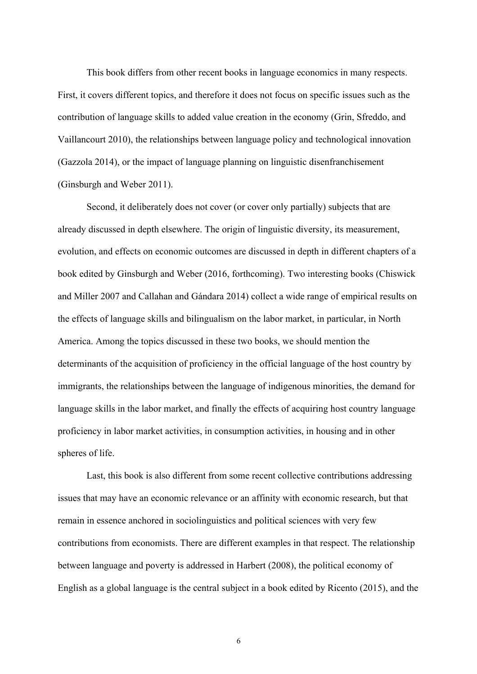This book differs from other recent books in language economics in many respects. First, it covers different topics, and therefore it does not focus on specific issues such as the contribution of language skills to added value creation in the economy (Grin, Sfreddo, and Vaillancourt 2010), the relationships between language policy and technological innovation (Gazzola 2014), or the impact of language planning on linguistic disenfranchisement (Ginsburgh and Weber 2011).

Second, it deliberately does not cover (or cover only partially) subjects that are already discussed in depth elsewhere. The origin of linguistic diversity, its measurement, evolution, and effects on economic outcomes are discussed in depth in different chapters of a book edited by Ginsburgh and Weber (2016, forthcoming). Two interesting books (Chiswick and Miller 2007 and Callahan and Gándara 2014) collect a wide range of empirical results on the effects of language skills and bilingualism on the labor market, in particular, in North America. Among the topics discussed in these two books, we should mention the determinants of the acquisition of proficiency in the official language of the host country by immigrants, the relationships between the language of indigenous minorities, the demand for language skills in the labor market, and finally the effects of acquiring host country language proficiency in labor market activities, in consumption activities, in housing and in other spheres of life.

Last, this book is also different from some recent collective contributions addressing issues that may have an economic relevance or an affinity with economic research, but that remain in essence anchored in sociolinguistics and political sciences with very few contributions from economists. There are different examples in that respect. The relationship between language and poverty is addressed in Harbert (2008), the political economy of English as a global language is the central subject in a book edited by Ricento (2015), and the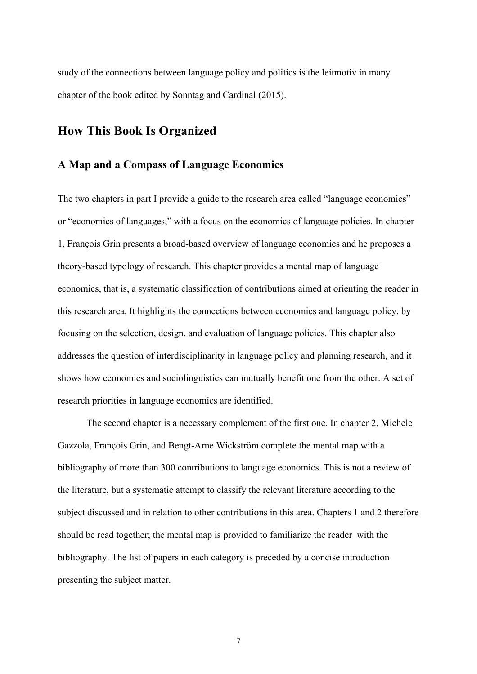study of the connections between language policy and politics is the leitmotiv in many chapter of the book edited by Sonntag and Cardinal (2015).

## **How This Book Is Organized**

#### **A Map and a Compass of Language Economics**

The two chapters in part I provide a guide to the research area called "language economics" or "economics of languages," with a focus on the economics of language policies. In chapter 1, François Grin presents a broad-based overview of language economics and he proposes a theory-based typology of research. This chapter provides a mental map of language economics, that is, a systematic classification of contributions aimed at orienting the reader in this research area. It highlights the connections between economics and language policy, by focusing on the selection, design, and evaluation of language policies. This chapter also addresses the question of interdisciplinarity in language policy and planning research, and it shows how economics and sociolinguistics can mutually benefit one from the other. A set of research priorities in language economics are identified.

The second chapter is a necessary complement of the first one. In chapter 2, Michele Gazzola, François Grin, and Bengt-Arne Wickström complete the mental map with a bibliography of more than 300 contributions to language economics. This is not a review of the literature, but a systematic attempt to classify the relevant literature according to the subject discussed and in relation to other contributions in this area. Chapters 1 and 2 therefore should be read together; the mental map is provided to familiarize the reader with the bibliography. The list of papers in each category is preceded by a concise introduction presenting the subject matter.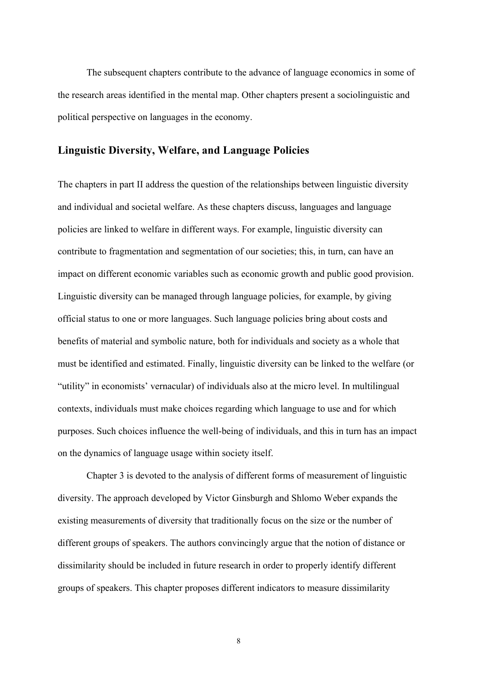The subsequent chapters contribute to the advance of language economics in some of the research areas identified in the mental map. Other chapters present a sociolinguistic and political perspective on languages in the economy.

#### **Linguistic Diversity, Welfare, and Language Policies**

The chapters in part II address the question of the relationships between linguistic diversity and individual and societal welfare. As these chapters discuss, languages and language policies are linked to welfare in different ways. For example, linguistic diversity can contribute to fragmentation and segmentation of our societies; this, in turn, can have an impact on different economic variables such as economic growth and public good provision. Linguistic diversity can be managed through language policies, for example, by giving official status to one or more languages. Such language policies bring about costs and benefits of material and symbolic nature, both for individuals and society as a whole that must be identified and estimated. Finally, linguistic diversity can be linked to the welfare (or "utility" in economists' vernacular) of individuals also at the micro level. In multilingual contexts, individuals must make choices regarding which language to use and for which purposes. Such choices influence the well-being of individuals, and this in turn has an impact on the dynamics of language usage within society itself.

Chapter 3 is devoted to the analysis of different forms of measurement of linguistic diversity. The approach developed by Victor Ginsburgh and Shlomo Weber expands the existing measurements of diversity that traditionally focus on the size or the number of different groups of speakers. The authors convincingly argue that the notion of distance or dissimilarity should be included in future research in order to properly identify different groups of speakers. This chapter proposes different indicators to measure dissimilarity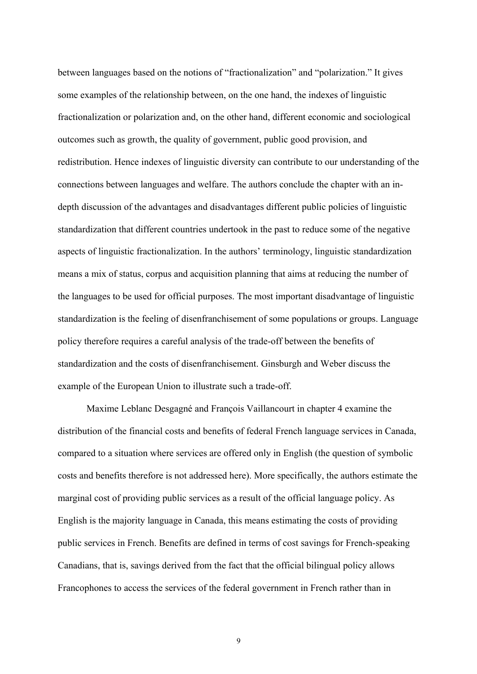between languages based on the notions of "fractionalization" and "polarization." It gives some examples of the relationship between, on the one hand, the indexes of linguistic fractionalization or polarization and, on the other hand, different economic and sociological outcomes such as growth, the quality of government, public good provision, and redistribution. Hence indexes of linguistic diversity can contribute to our understanding of the connections between languages and welfare. The authors conclude the chapter with an indepth discussion of the advantages and disadvantages different public policies of linguistic standardization that different countries undertook in the past to reduce some of the negative aspects of linguistic fractionalization. In the authors' terminology, linguistic standardization means a mix of status, corpus and acquisition planning that aims at reducing the number of the languages to be used for official purposes. The most important disadvantage of linguistic standardization is the feeling of disenfranchisement of some populations or groups. Language policy therefore requires a careful analysis of the trade-off between the benefits of standardization and the costs of disenfranchisement. Ginsburgh and Weber discuss the example of the European Union to illustrate such a trade-off.

Maxime Leblanc Desgagné and François Vaillancourt in chapter 4 examine the distribution of the financial costs and benefits of federal French language services in Canada, compared to a situation where services are offered only in English (the question of symbolic costs and benefits therefore is not addressed here). More specifically, the authors estimate the marginal cost of providing public services as a result of the official language policy. As English is the majority language in Canada, this means estimating the costs of providing public services in French. Benefits are defined in terms of cost savings for French-speaking Canadians, that is, savings derived from the fact that the official bilingual policy allows Francophones to access the services of the federal government in French rather than in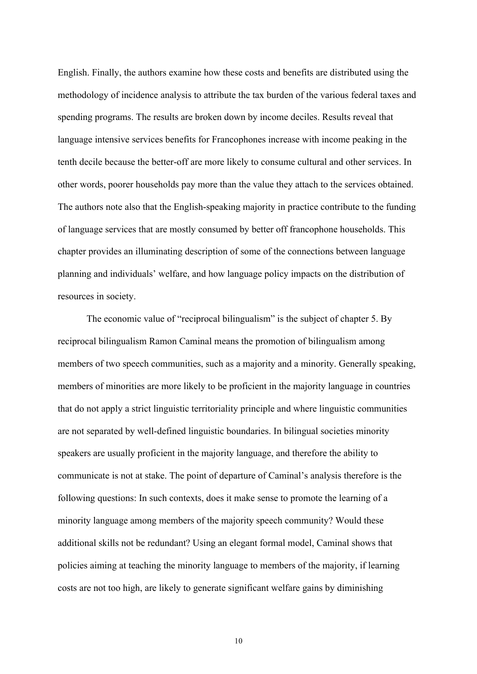English. Finally, the authors examine how these costs and benefits are distributed using the methodology of incidence analysis to attribute the tax burden of the various federal taxes and spending programs. The results are broken down by income deciles. Results reveal that language intensive services benefits for Francophones increase with income peaking in the tenth decile because the better-off are more likely to consume cultural and other services. In other words, poorer households pay more than the value they attach to the services obtained. The authors note also that the English-speaking majority in practice contribute to the funding of language services that are mostly consumed by better off francophone households. This chapter provides an illuminating description of some of the connections between language planning and individuals' welfare, and how language policy impacts on the distribution of resources in society.

The economic value of "reciprocal bilingualism" is the subject of chapter 5. By reciprocal bilingualism Ramon Caminal means the promotion of bilingualism among members of two speech communities, such as a majority and a minority. Generally speaking, members of minorities are more likely to be proficient in the majority language in countries that do not apply a strict linguistic territoriality principle and where linguistic communities are not separated by well-defined linguistic boundaries. In bilingual societies minority speakers are usually proficient in the majority language, and therefore the ability to communicate is not at stake. The point of departure of Caminal's analysis therefore is the following questions: In such contexts, does it make sense to promote the learning of a minority language among members of the majority speech community? Would these additional skills not be redundant? Using an elegant formal model, Caminal shows that policies aiming at teaching the minority language to members of the majority, if learning costs are not too high, are likely to generate significant welfare gains by diminishing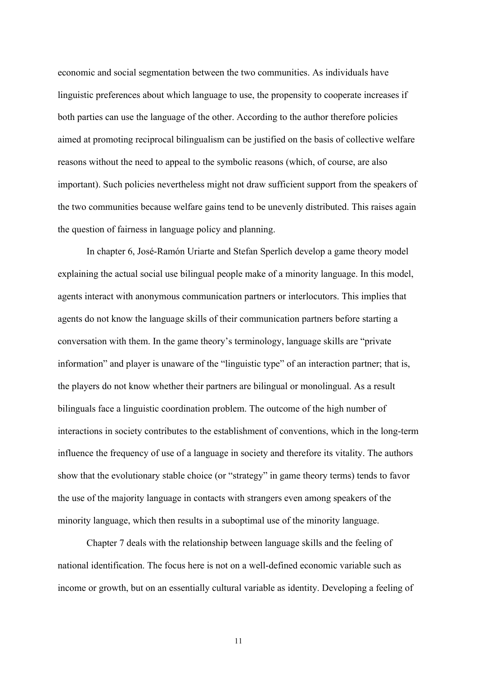economic and social segmentation between the two communities. As individuals have linguistic preferences about which language to use, the propensity to cooperate increases if both parties can use the language of the other. According to the author therefore policies aimed at promoting reciprocal bilingualism can be justified on the basis of collective welfare reasons without the need to appeal to the symbolic reasons (which, of course, are also important). Such policies nevertheless might not draw sufficient support from the speakers of the two communities because welfare gains tend to be unevenly distributed. This raises again the question of fairness in language policy and planning.

In chapter 6, José-Ramón Uriarte and Stefan Sperlich develop a game theory model explaining the actual social use bilingual people make of a minority language. In this model, agents interact with anonymous communication partners or interlocutors. This implies that agents do not know the language skills of their communication partners before starting a conversation with them. In the game theory's terminology, language skills are "private information" and player is unaware of the "linguistic type" of an interaction partner; that is, the players do not know whether their partners are bilingual or monolingual. As a result bilinguals face a linguistic coordination problem. The outcome of the high number of interactions in society contributes to the establishment of conventions, which in the long-term influence the frequency of use of a language in society and therefore its vitality. The authors show that the evolutionary stable choice (or "strategy" in game theory terms) tends to favor the use of the majority language in contacts with strangers even among speakers of the minority language, which then results in a suboptimal use of the minority language.

Chapter 7 deals with the relationship between language skills and the feeling of national identification. The focus here is not on a well-defined economic variable such as income or growth, but on an essentially cultural variable as identity. Developing a feeling of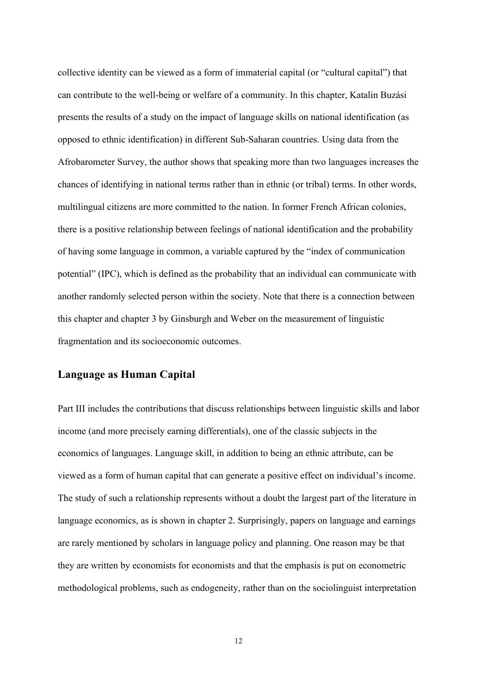collective identity can be viewed as a form of immaterial capital (or "cultural capital") that can contribute to the well-being or welfare of a community. In this chapter, Katalin Buzási presents the results of a study on the impact of language skills on national identification (as opposed to ethnic identification) in different Sub-Saharan countries. Using data from the Afrobarometer Survey, the author shows that speaking more than two languages increases the chances of identifying in national terms rather than in ethnic (or tribal) terms. In other words, multilingual citizens are more committed to the nation. In former French African colonies, there is a positive relationship between feelings of national identification and the probability of having some language in common, a variable captured by the "index of communication potential" (IPC), which is defined as the probability that an individual can communicate with another randomly selected person within the society. Note that there is a connection between this chapter and chapter 3 by Ginsburgh and Weber on the measurement of linguistic fragmentation and its socioeconomic outcomes.

#### **Language as Human Capital**

Part III includes the contributions that discuss relationships between linguistic skills and labor income (and more precisely earning differentials), one of the classic subjects in the economics of languages. Language skill, in addition to being an ethnic attribute, can be viewed as a form of human capital that can generate a positive effect on individual's income. The study of such a relationship represents without a doubt the largest part of the literature in language economics, as is shown in chapter 2. Surprisingly, papers on language and earnings are rarely mentioned by scholars in language policy and planning. One reason may be that they are written by economists for economists and that the emphasis is put on econometric methodological problems, such as endogeneity, rather than on the sociolinguist interpretation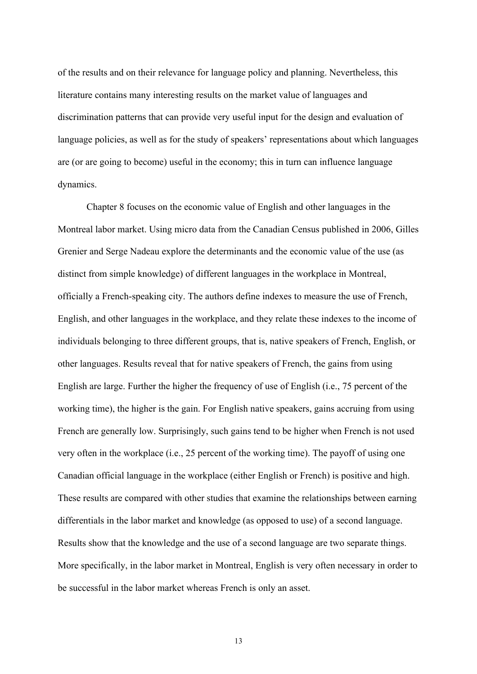of the results and on their relevance for language policy and planning. Nevertheless, this literature contains many interesting results on the market value of languages and discrimination patterns that can provide very useful input for the design and evaluation of language policies, as well as for the study of speakers' representations about which languages are (or are going to become) useful in the economy; this in turn can influence language dynamics.

Chapter 8 focuses on the economic value of English and other languages in the Montreal labor market. Using micro data from the Canadian Census published in 2006, Gilles Grenier and Serge Nadeau explore the determinants and the economic value of the use (as distinct from simple knowledge) of different languages in the workplace in Montreal, officially a French-speaking city. The authors define indexes to measure the use of French, English, and other languages in the workplace, and they relate these indexes to the income of individuals belonging to three different groups, that is, native speakers of French, English, or other languages. Results reveal that for native speakers of French, the gains from using English are large. Further the higher the frequency of use of English (i.e., 75 percent of the working time), the higher is the gain. For English native speakers, gains accruing from using French are generally low. Surprisingly, such gains tend to be higher when French is not used very often in the workplace (i.e., 25 percent of the working time). The payoff of using one Canadian official language in the workplace (either English or French) is positive and high. These results are compared with other studies that examine the relationships between earning differentials in the labor market and knowledge (as opposed to use) of a second language. Results show that the knowledge and the use of a second language are two separate things. More specifically, in the labor market in Montreal, English is very often necessary in order to be successful in the labor market whereas French is only an asset.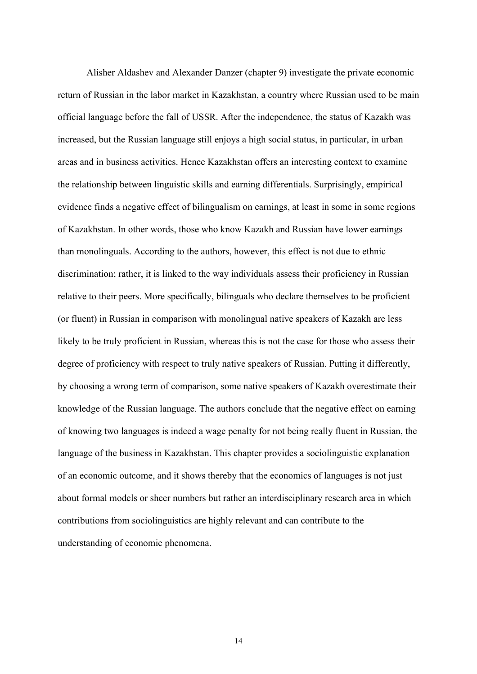Alisher Aldashev and Alexander Danzer (chapter 9) investigate the private economic return of Russian in the labor market in Kazakhstan, a country where Russian used to be main official language before the fall of USSR. After the independence, the status of Kazakh was increased, but the Russian language still enjoys a high social status, in particular, in urban areas and in business activities. Hence Kazakhstan offers an interesting context to examine the relationship between linguistic skills and earning differentials. Surprisingly, empirical evidence finds a negative effect of bilingualism on earnings, at least in some in some regions of Kazakhstan. In other words, those who know Kazakh and Russian have lower earnings than monolinguals. According to the authors, however, this effect is not due to ethnic discrimination; rather, it is linked to the way individuals assess their proficiency in Russian relative to their peers. More specifically, bilinguals who declare themselves to be proficient (or fluent) in Russian in comparison with monolingual native speakers of Kazakh are less likely to be truly proficient in Russian, whereas this is not the case for those who assess their degree of proficiency with respect to truly native speakers of Russian. Putting it differently, by choosing a wrong term of comparison, some native speakers of Kazakh overestimate their knowledge of the Russian language. The authors conclude that the negative effect on earning of knowing two languages is indeed a wage penalty for not being really fluent in Russian, the language of the business in Kazakhstan. This chapter provides a sociolinguistic explanation of an economic outcome, and it shows thereby that the economics of languages is not just about formal models or sheer numbers but rather an interdisciplinary research area in which contributions from sociolinguistics are highly relevant and can contribute to the understanding of economic phenomena.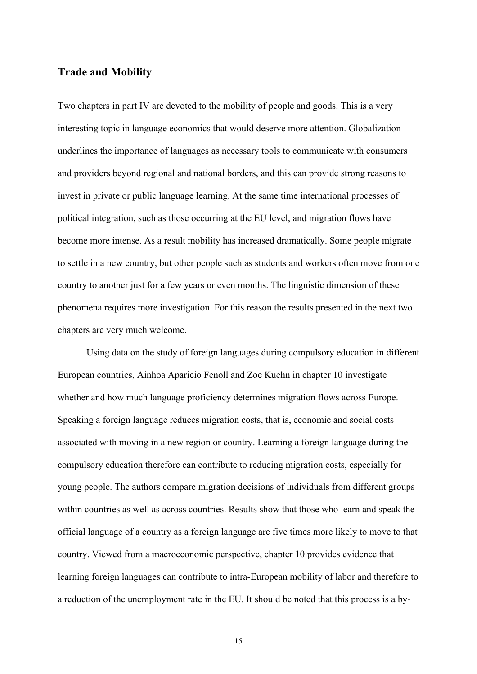#### **Trade and Mobility**

Two chapters in part IV are devoted to the mobility of people and goods. This is a very interesting topic in language economics that would deserve more attention. Globalization underlines the importance of languages as necessary tools to communicate with consumers and providers beyond regional and national borders, and this can provide strong reasons to invest in private or public language learning. At the same time international processes of political integration, such as those occurring at the EU level, and migration flows have become more intense. As a result mobility has increased dramatically. Some people migrate to settle in a new country, but other people such as students and workers often move from one country to another just for a few years or even months. The linguistic dimension of these phenomena requires more investigation. For this reason the results presented in the next two chapters are very much welcome.

Using data on the study of foreign languages during compulsory education in different European countries, Ainhoa Aparicio Fenoll and Zoe Kuehn in chapter 10 investigate whether and how much language proficiency determines migration flows across Europe. Speaking a foreign language reduces migration costs, that is, economic and social costs associated with moving in a new region or country. Learning a foreign language during the compulsory education therefore can contribute to reducing migration costs, especially for young people. The authors compare migration decisions of individuals from different groups within countries as well as across countries. Results show that those who learn and speak the official language of a country as a foreign language are five times more likely to move to that country. Viewed from a macroeconomic perspective, chapter 10 provides evidence that learning foreign languages can contribute to intra-European mobility of labor and therefore to a reduction of the unemployment rate in the EU. It should be noted that this process is a by-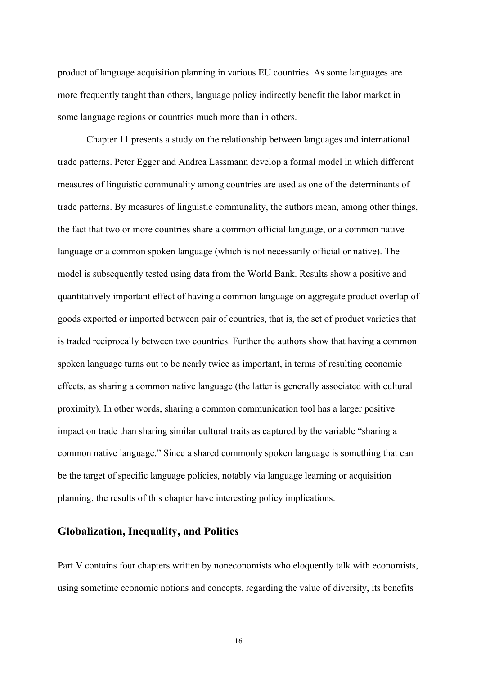product of language acquisition planning in various EU countries. As some languages are more frequently taught than others, language policy indirectly benefit the labor market in some language regions or countries much more than in others.

Chapter 11 presents a study on the relationship between languages and international trade patterns. Peter Egger and Andrea Lassmann develop a formal model in which different measures of linguistic communality among countries are used as one of the determinants of trade patterns. By measures of linguistic communality, the authors mean, among other things, the fact that two or more countries share a common official language, or a common native language or a common spoken language (which is not necessarily official or native). The model is subsequently tested using data from the World Bank. Results show a positive and quantitatively important effect of having a common language on aggregate product overlap of goods exported or imported between pair of countries, that is, the set of product varieties that is traded reciprocally between two countries. Further the authors show that having a common spoken language turns out to be nearly twice as important, in terms of resulting economic effects, as sharing a common native language (the latter is generally associated with cultural proximity). In other words, sharing a common communication tool has a larger positive impact on trade than sharing similar cultural traits as captured by the variable "sharing a common native language." Since a shared commonly spoken language is something that can be the target of specific language policies, notably via language learning or acquisition planning, the results of this chapter have interesting policy implications.

#### **Globalization, Inequality, and Politics**

Part V contains four chapters written by noneconomists who eloquently talk with economists, using sometime economic notions and concepts, regarding the value of diversity, its benefits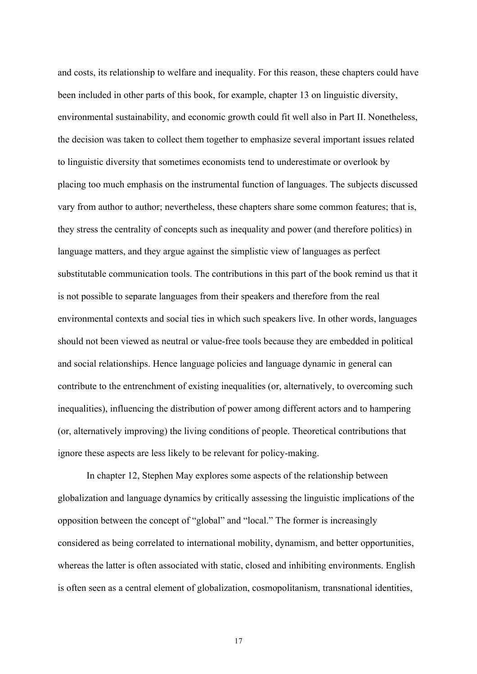and costs, its relationship to welfare and inequality. For this reason, these chapters could have been included in other parts of this book, for example, chapter 13 on linguistic diversity, environmental sustainability, and economic growth could fit well also in Part II. Nonetheless, the decision was taken to collect them together to emphasize several important issues related to linguistic diversity that sometimes economists tend to underestimate or overlook by placing too much emphasis on the instrumental function of languages. The subjects discussed vary from author to author; nevertheless, these chapters share some common features; that is, they stress the centrality of concepts such as inequality and power (and therefore politics) in language matters, and they argue against the simplistic view of languages as perfect substitutable communication tools. The contributions in this part of the book remind us that it is not possible to separate languages from their speakers and therefore from the real environmental contexts and social ties in which such speakers live. In other words, languages should not been viewed as neutral or value-free tools because they are embedded in political and social relationships. Hence language policies and language dynamic in general can contribute to the entrenchment of existing inequalities (or, alternatively, to overcoming such inequalities), influencing the distribution of power among different actors and to hampering (or, alternatively improving) the living conditions of people. Theoretical contributions that ignore these aspects are less likely to be relevant for policy-making.

In chapter 12, Stephen May explores some aspects of the relationship between globalization and language dynamics by critically assessing the linguistic implications of the opposition between the concept of "global" and "local." The former is increasingly considered as being correlated to international mobility, dynamism, and better opportunities, whereas the latter is often associated with static, closed and inhibiting environments. English is often seen as a central element of globalization, cosmopolitanism, transnational identities,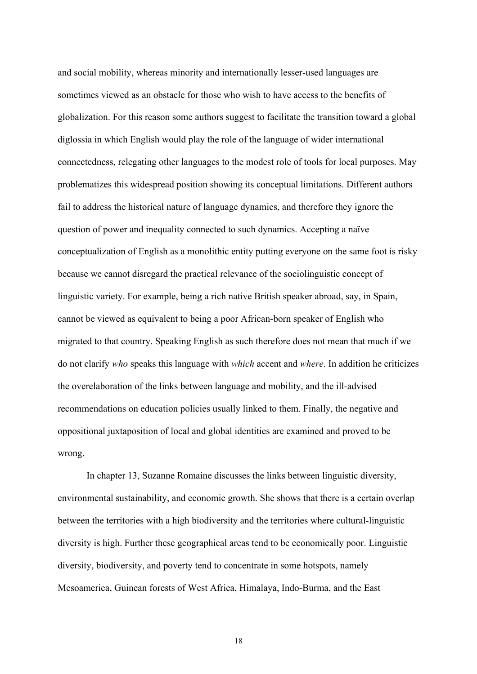and social mobility, whereas minority and internationally lesser-used languages are sometimes viewed as an obstacle for those who wish to have access to the benefits of globalization. For this reason some authors suggest to facilitate the transition toward a global diglossia in which English would play the role of the language of wider international connectedness, relegating other languages to the modest role of tools for local purposes. May problematizes this widespread position showing its conceptual limitations. Different authors fail to address the historical nature of language dynamics, and therefore they ignore the question of power and inequality connected to such dynamics. Accepting a naïve conceptualization of English as a monolithic entity putting everyone on the same foot is risky because we cannot disregard the practical relevance of the sociolinguistic concept of linguistic variety. For example, being a rich native British speaker abroad, say, in Spain, cannot be viewed as equivalent to being a poor African-born speaker of English who migrated to that country. Speaking English as such therefore does not mean that much if we do not clarify *who* speaks this language with *which* accent and *where*. In addition he criticizes the overelaboration of the links between language and mobility, and the ill-advised recommendations on education policies usually linked to them. Finally, the negative and oppositional juxtaposition of local and global identities are examined and proved to be wrong.

In chapter 13, Suzanne Romaine discusses the links between linguistic diversity, environmental sustainability, and economic growth. She shows that there is a certain overlap between the territories with a high biodiversity and the territories where cultural-linguistic diversity is high. Further these geographical areas tend to be economically poor. Linguistic diversity, biodiversity, and poverty tend to concentrate in some hotspots, namely Mesoamerica, Guinean forests of West Africa, Himalaya, Indo-Burma, and the East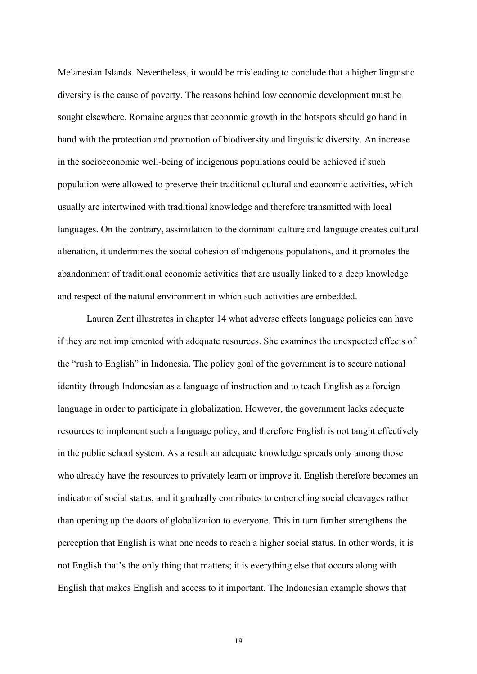Melanesian Islands. Nevertheless, it would be misleading to conclude that a higher linguistic diversity is the cause of poverty. The reasons behind low economic development must be sought elsewhere. Romaine argues that economic growth in the hotspots should go hand in hand with the protection and promotion of biodiversity and linguistic diversity. An increase in the socioeconomic well-being of indigenous populations could be achieved if such population were allowed to preserve their traditional cultural and economic activities, which usually are intertwined with traditional knowledge and therefore transmitted with local languages. On the contrary, assimilation to the dominant culture and language creates cultural alienation, it undermines the social cohesion of indigenous populations, and it promotes the abandonment of traditional economic activities that are usually linked to a deep knowledge and respect of the natural environment in which such activities are embedded.

Lauren Zent illustrates in chapter 14 what adverse effects language policies can have if they are not implemented with adequate resources. She examines the unexpected effects of the "rush to English" in Indonesia. The policy goal of the government is to secure national identity through Indonesian as a language of instruction and to teach English as a foreign language in order to participate in globalization. However, the government lacks adequate resources to implement such a language policy, and therefore English is not taught effectively in the public school system. As a result an adequate knowledge spreads only among those who already have the resources to privately learn or improve it. English therefore becomes an indicator of social status, and it gradually contributes to entrenching social cleavages rather than opening up the doors of globalization to everyone. This in turn further strengthens the perception that English is what one needs to reach a higher social status. In other words, it is not English that's the only thing that matters; it is everything else that occurs along with English that makes English and access to it important. The Indonesian example shows that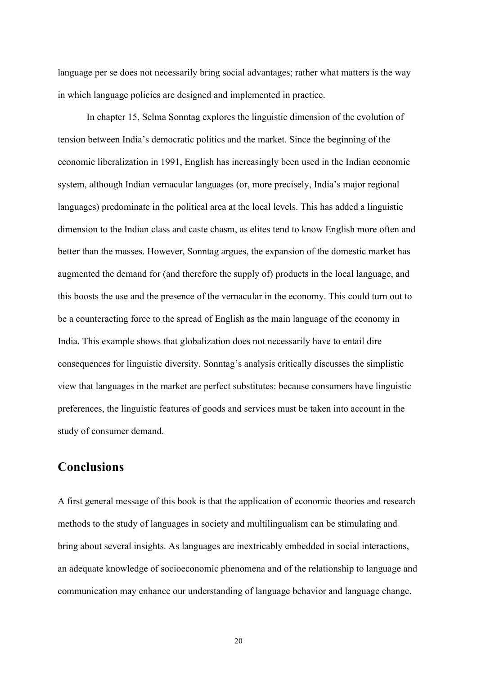language per se does not necessarily bring social advantages; rather what matters is the way in which language policies are designed and implemented in practice.

In chapter 15, Selma Sonntag explores the linguistic dimension of the evolution of tension between India's democratic politics and the market. Since the beginning of the economic liberalization in 1991, English has increasingly been used in the Indian economic system, although Indian vernacular languages (or, more precisely, India's major regional languages) predominate in the political area at the local levels. This has added a linguistic dimension to the Indian class and caste chasm, as elites tend to know English more often and better than the masses. However, Sonntag argues, the expansion of the domestic market has augmented the demand for (and therefore the supply of) products in the local language, and this boosts the use and the presence of the vernacular in the economy. This could turn out to be a counteracting force to the spread of English as the main language of the economy in India. This example shows that globalization does not necessarily have to entail dire consequences for linguistic diversity. Sonntag's analysis critically discusses the simplistic view that languages in the market are perfect substitutes: because consumers have linguistic preferences, the linguistic features of goods and services must be taken into account in the study of consumer demand.

### **Conclusions**

A first general message of this book is that the application of economic theories and research methods to the study of languages in society and multilingualism can be stimulating and bring about several insights. As languages are inextricably embedded in social interactions, an adequate knowledge of socioeconomic phenomena and of the relationship to language and communication may enhance our understanding of language behavior and language change.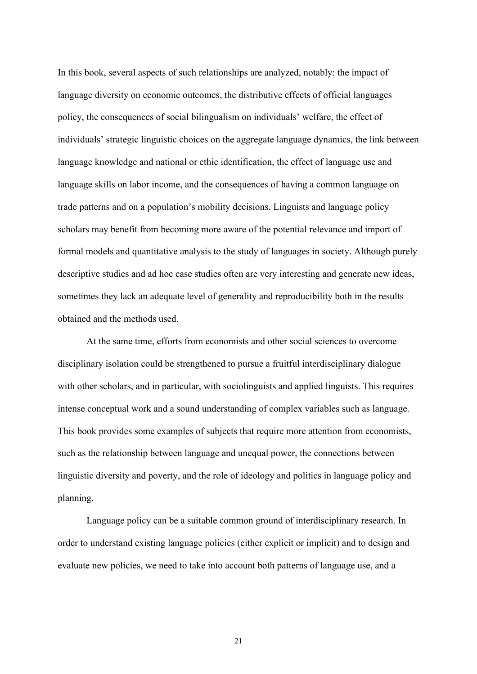In this book, several aspects of such relationships are analyzed, notably: the impact of language diversity on economic outcomes, the distributive effects of official languages policy, the consequences of social bilingualism on individuals' welfare, the effect of individuals' strategic linguistic choices on the aggregate language dynamics, the link between language knowledge and national or ethic identification, the effect of language use and language skills on labor income, and the consequences of having a common language on trade patterns and on a population's mobility decisions. Linguists and language policy scholars may benefit from becoming more aware of the potential relevance and import of formal models and quantitative analysis to the study of languages in society. Although purely descriptive studies and ad hoc case studies often are very interesting and generate new ideas, sometimes they lack an adequate level of generality and reproducibility both in the results obtained and the methods used.

At the same time, efforts from economists and other social sciences to overcome disciplinary isolation could be strengthened to pursue a fruitful interdisciplinary dialogue with other scholars, and in particular, with sociolinguists and applied linguists. This requires intense conceptual work and a sound understanding of complex variables such as language. This book provides some examples of subjects that require more attention from economists, such as the relationship between language and unequal power, the connections between linguistic diversity and poverty, and the role of ideology and politics in language policy and planning.

Language policy can be a suitable common ground of interdisciplinary research. In order to understand existing language policies (either explicit or implicit) and to design and evaluate new policies, we need to take into account both patterns of language use, and a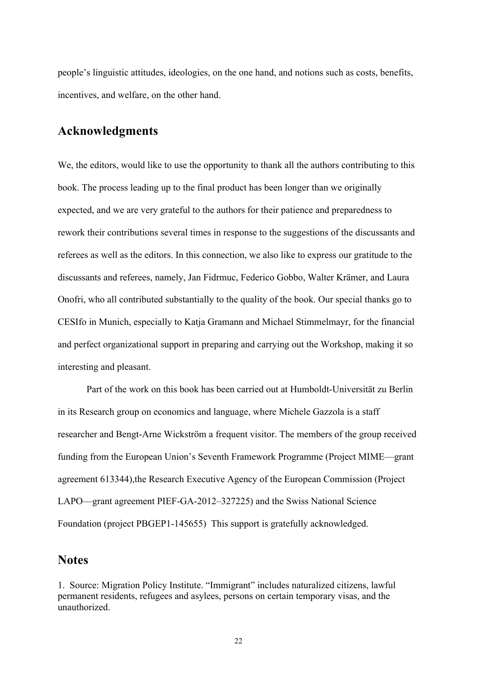people's linguistic attitudes, ideologies, on the one hand, and notions such as costs, benefits, incentives, and welfare, on the other hand.

## **Acknowledgments**

We, the editors, would like to use the opportunity to thank all the authors contributing to this book. The process leading up to the final product has been longer than we originally expected, and we are very grateful to the authors for their patience and preparedness to rework their contributions several times in response to the suggestions of the discussants and referees as well as the editors. In this connection, we also like to express our gratitude to the discussants and referees, namely, Jan Fidrmuc, Federico Gobbo, Walter Krämer, and Laura Onofri, who all contributed substantially to the quality of the book. Our special thanks go to CESIfo in Munich, especially to Katja Gramann and Michael Stimmelmayr, for the financial and perfect organizational support in preparing and carrying out the Workshop, making it so interesting and pleasant.

Part of the work on this book has been carried out at Humboldt-Universität zu Berlin in its Research group on economics and language, where Michele Gazzola is a staff researcher and Bengt-Arne Wickström a frequent visitor. The members of the group received funding from the European Union's Seventh Framework Programme (Project MIME—grant agreement 613344),the Research Executive Agency of the European Commission (Project LAPO—grant agreement PIEF-GA-2012–327225) and the Swiss National Science Foundation (project PBGEP1-145655) This support is gratefully acknowledged.

#### **Notes**

1. Source: Migration Policy Institute. "Immigrant" includes naturalized citizens, lawful permanent residents, refugees and asylees, persons on certain temporary visas, and the unauthorized.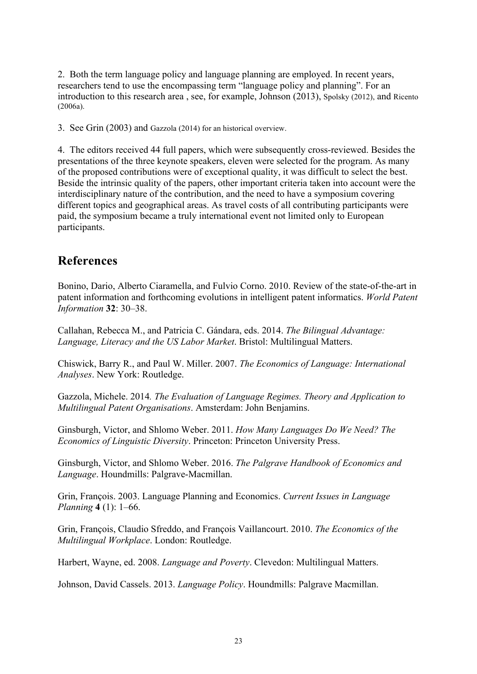2. Both the term language policy and language planning are employed. In recent years, researchers tend to use the encompassing term "language policy and planning". For an introduction to this research area , see, for example, Johnson (2013), Spolsky (2012), and Ricento (2006a).

3. See Grin (2003) and Gazzola (2014) for an historical overview.

4. The editors received 44 full papers, which were subsequently cross-reviewed. Besides the presentations of the three keynote speakers, eleven were selected for the program. As many of the proposed contributions were of exceptional quality, it was difficult to select the best. Beside the intrinsic quality of the papers, other important criteria taken into account were the interdisciplinary nature of the contribution, and the need to have a symposium covering different topics and geographical areas. As travel costs of all contributing participants were paid, the symposium became a truly international event not limited only to European participants.

# **References**

Bonino, Dario, Alberto Ciaramella, and Fulvio Corno. 2010. Review of the state-of-the-art in patent information and forthcoming evolutions in intelligent patent informatics. *World Patent Information* **32**: 30–38.

Callahan, Rebecca M., and Patricia C. Gándara, eds. 2014. *The Bilingual Advantage: Language, Literacy and the US Labor Market*. Bristol: Multilingual Matters.

Chiswick, Barry R., and Paul W. Miller. 2007. *The Economics of Language: International Analyses*. New York: Routledge.

Gazzola, Michele. 2014*. The Evaluation of Language Regimes. Theory and Application to Multilingual Patent Organisations*. Amsterdam: John Benjamins.

Ginsburgh, Victor, and Shlomo Weber. 2011. *How Many Languages Do We Need? The Economics of Linguistic Diversity*. Princeton: Princeton University Press.

Ginsburgh, Victor, and Shlomo Weber. 2016. *The Palgrave Handbook of Economics and Language*. Houndmills: Palgrave-Macmillan.

Grin, François. 2003. Language Planning and Economics. *Current Issues in Language Planning* **4** (1): 1–66.

Grin, François, Claudio Sfreddo, and François Vaillancourt. 2010. *The Economics of the Multilingual Workplace*. London: Routledge.

Harbert, Wayne, ed. 2008. *Language and Poverty*. Clevedon: Multilingual Matters.

Johnson, David Cassels. 2013. *Language Policy*. Houndmills: Palgrave Macmillan.